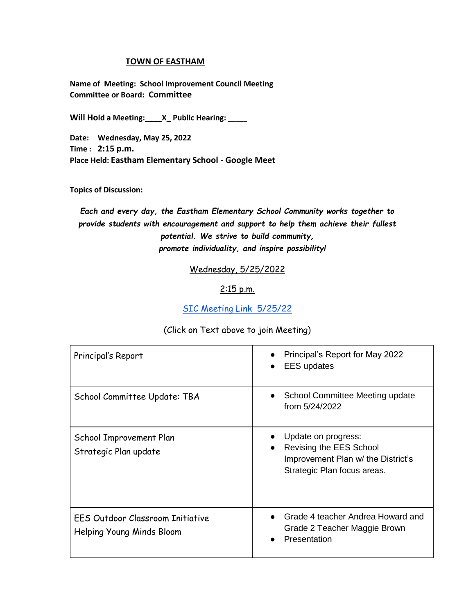## **TOWN OF EASTHAM**

**Name of Meeting: School Improvement Council Meeting Committee or Board: Committee**

**Will Hold a Meeting:\_\_\_\_X\_ Public Hearing: \_\_\_\_\_**

**Date: Wednesday, May 25, 2022 Time : 2:15 p.m. Place Held: Eastham Elementary School - Google Meet**

**Topics of Discussion:** 

*Each and every day, the Eastham Elementary School Community works together to provide students with encouragement and support to help them achieve their fullest potential. We strive to build community, promote individuality, and inspire possibility!*

Wednesday, 5/25/2022

## $2:15$  p.m.

[SIC Meeting Link 5/25/22](http://meet.google.com/yar-gmqc-zgd)

## (Click on Text above to join Meeting)

| Principal's Report                                            | Principal's Report for May 2022<br><b>EES</b> updates                                                               |
|---------------------------------------------------------------|---------------------------------------------------------------------------------------------------------------------|
| School Committee Update: TBA                                  | School Committee Meeting update<br>from 5/24/2022                                                                   |
| School Improvement Plan<br>Strategic Plan update              | Update on progress:<br>Revising the EES School<br>Improvement Plan w/ the District's<br>Strategic Plan focus areas. |
| EES Outdoor Classroom Initiative<br>Helping Young Minds Bloom | Grade 4 teacher Andrea Howard and<br>Grade 2 Teacher Maggie Brown<br>Presentation                                   |